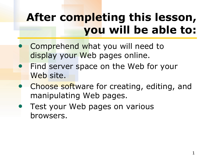# **After completing this lesson, you will be able to:**

- Comprehend what you will need to display your Web pages online.
- **Find server space on the Web for your** Web site.
- Choose software for creating, editing, and manipulating Web pages.
- Test your Web pages on various browsers.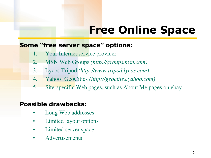# **Free Online Space**

#### **Some "free server space" options:**

- 1. Your Internet service provider
- 2. MSN Web Groups *(http://groups.msn.com)*
- 3. Lycos Tripod *(http://www.tripod.lycos.com)*
- 4. Yahoo! GeoCities *(http://geocities.yahoo.com)*
- 5. Site-specific Web pages, such as About Me pages on ebay

#### **Possible drawbacks:**

- Long Web addresses
- Limited layout options
- Limited server space
- Advertisements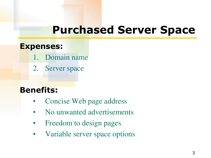## **Purchased Server Space**

#### **Expenses:**

- 1. Domain name
- 2. Server space

### **Benefits:**

- Concise Web page address
- No unwanted advertisements
- Freedom to design pages
- Variable server space options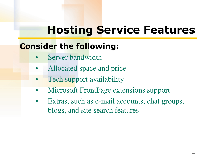# **Hosting Service Features**

### **Consider the following:**

- Server bandwidth
- Allocated space and price
- Tech support availability
- Microsoft FrontPage extensions support
- Extras, such as e-mail accounts, chat groups, blogs, and site search features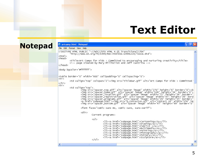## **Text Editor**

|                | <b>Martcamp.html - Notepad</b>                                                                                                                                                                                                                                                                                                                                                                                                                                                                                                                                                                                                                                                                                                                                                                                                                                                                                                                                                              |                                                                                                                                                                                                                                                                                                                                                                                                                                                                                                                                                                                                                                                                                                                                                                                                                                                                                                                                                          |  |  |  |
|----------------|---------------------------------------------------------------------------------------------------------------------------------------------------------------------------------------------------------------------------------------------------------------------------------------------------------------------------------------------------------------------------------------------------------------------------------------------------------------------------------------------------------------------------------------------------------------------------------------------------------------------------------------------------------------------------------------------------------------------------------------------------------------------------------------------------------------------------------------------------------------------------------------------------------------------------------------------------------------------------------------------|----------------------------------------------------------------------------------------------------------------------------------------------------------------------------------------------------------------------------------------------------------------------------------------------------------------------------------------------------------------------------------------------------------------------------------------------------------------------------------------------------------------------------------------------------------------------------------------------------------------------------------------------------------------------------------------------------------------------------------------------------------------------------------------------------------------------------------------------------------------------------------------------------------------------------------------------------------|--|--|--|
| <b>Notepad</b> | File Edit Format View Help                                                                                                                                                                                                                                                                                                                                                                                                                                                                                                                                                                                                                                                                                                                                                                                                                                                                                                                                                                  |                                                                                                                                                                                                                                                                                                                                                                                                                                                                                                                                                                                                                                                                                                                                                                                                                                                                                                                                                          |  |  |  |
|                | DOCTYPE HTML PUBLIC "-//W3C//DTD HTML 4.01 Transitional//EN"<br "http://www.w3.org/TR/1999/REC-html401-19991224/loose.dtd"><br>$\text{thtm1}$<br><head><br/><title>Art Camps for Kids : Committed to encouraging and nurturing creativity</title><br/><math>\langle</math>!-- page created by Mary Millhollon and Jeff Castrina --&gt;<br/></head>                                                                                                                                                                                                                                                                                                                                                                                                                                                                                                                                                                                                                                          |                                                                                                                                                                                                                                                                                                                                                                                                                                                                                                                                                                                                                                                                                                                                                                                                                                                                                                                                                          |  |  |  |
|                | <body bgcolor="#ffffff"></body>                                                                                                                                                                                                                                                                                                                                                                                                                                                                                                                                                                                                                                                                                                                                                                                                                                                                                                                                                             |                                                                                                                                                                                                                                                                                                                                                                                                                                                                                                                                                                                                                                                                                                                                                                                                                                                                                                                                                          |  |  |  |
|                | <table border="0" cellpadding="0" cellspacing="0" width="600"><br/><math>&lt;</math>tr&gt;</table>                                                                                                                                                                                                                                                                                                                                                                                                                                                                                                                                                                                                                                                                                                                                                                                                                                                                                          |                                                                                                                                                                                                                                                                                                                                                                                                                                                                                                                                                                                                                                                                                                                                                                                                                                                                                                                                                          |  |  |  |
|                | <td colspan="2" valign="top"><img alt="Art Camps for Kids : Committed&lt;br&gt;&lt;math&gt;\langle&lt;/math&gt;/tr&gt;&lt;/th&gt;&lt;th&gt;&lt;/th&gt;&lt;/tr&gt;&lt;tr&gt;&lt;th&gt;&lt;/th&gt;&lt;th&gt;&lt;math&gt;&lt;&lt;/math&gt;tr&gt;&lt;br&gt;&lt;td valign=" src="titlebar.gif" top"=""/><br/><imq alt="spacer image" border="0" height="6" src="spacer_top.qif" width="270"><b<br><img alt="spacer image" border="0" height="34" src="spacer_home.gif" width="106"/><br/><img alt="spacer_image" bord<br="" border="&lt;br&gt;&lt;img src=" height="36" spacer_registration.gif"="" src="spacer_location.gif" width="47"/><img alt="spacer image" border="&lt;br&gt;&lt;a firef=" height="35" src="spacer_programs.gif" subpage.html"="" width="26"/><img_src="b_contactus.gif" alt="contact Us" he<br="" width="154"><imq <="" alt="spacer imaqe" border="0" height="69" src="spacer_bottom.qif" th="" width="47"><th></th></imq></img_src="b_contactus.gif"></b<br></imq></td> | <img alt="Art Camps for Kids : Committed&lt;br&gt;&lt;math&gt;\langle&lt;/math&gt;/tr&gt;&lt;/th&gt;&lt;th&gt;&lt;/th&gt;&lt;/tr&gt;&lt;tr&gt;&lt;th&gt;&lt;/th&gt;&lt;th&gt;&lt;math&gt;&lt;&lt;/math&gt;tr&gt;&lt;br&gt;&lt;td valign=" src="titlebar.gif" top"=""/><br><imq alt="spacer image" border="0" height="6" src="spacer_top.qif" width="270"><b<br><img alt="spacer image" border="0" height="34" src="spacer_home.gif" width="106"/><br/><img alt="spacer_image" bord<br="" border="&lt;br&gt;&lt;img src=" height="36" spacer_registration.gif"="" src="spacer_location.gif" width="47"/><img alt="spacer image" border="&lt;br&gt;&lt;a firef=" height="35" src="spacer_programs.gif" subpage.html"="" width="26"/><img_src="b_contactus.gif" alt="contact Us" he<br="" width="154"><imq <="" alt="spacer imaqe" border="0" height="69" src="spacer_bottom.qif" th="" width="47"><th></th></imq></img_src="b_contactus.gif"></b<br></imq> |  |  |  |
|                | <font face="comic sans ms, comic sans, sans-serif"></font>                                                                                                                                                                                                                                                                                                                                                                                                                                                                                                                                                                                                                                                                                                                                                                                                                                                                                                                                  |                                                                                                                                                                                                                                                                                                                                                                                                                                                                                                                                                                                                                                                                                                                                                                                                                                                                                                                                                          |  |  |  |
|                | $<$ dir $>$<br>Current programs:                                                                                                                                                                                                                                                                                                                                                                                                                                                                                                                                                                                                                                                                                                                                                                                                                                                                                                                                                            |                                                                                                                                                                                                                                                                                                                                                                                                                                                                                                                                                                                                                                                                                                                                                                                                                                                                                                                                                          |  |  |  |
|                | $\langle u \rangle$<br><li><a href="subpage.html">Cartooning</a></li><br><li><a href="subpage.html">Drawing</a></li><br><li><a href="subpage.html">Fabrics </a></li><br><li><a href="subpage.html">Multimedia</a></li><br><li><a href="subpage.html">Painting</a></li><br><li><a href="subpage.html">Photography</a></li><br><li><a href="subpage.html">Pottery</a></li><br><li><a href="subpage.html">Sculpture</a></li><br>$\langle \sqrt{u} \rangle$                                                                                                                                                                                                                                                                                                                                                                                                                                                                                                                                     |                                                                                                                                                                                                                                                                                                                                                                                                                                                                                                                                                                                                                                                                                                                                                                                                                                                                                                                                                          |  |  |  |
|                | <b>THE</b>                                                                                                                                                                                                                                                                                                                                                                                                                                                                                                                                                                                                                                                                                                                                                                                                                                                                                                                                                                                  |                                                                                                                                                                                                                                                                                                                                                                                                                                                                                                                                                                                                                                                                                                                                                                                                                                                                                                                                                          |  |  |  |
|                |                                                                                                                                                                                                                                                                                                                                                                                                                                                                                                                                                                                                                                                                                                                                                                                                                                                                                                                                                                                             |                                                                                                                                                                                                                                                                                                                                                                                                                                                                                                                                                                                                                                                                                                                                                                                                                                                                                                                                                          |  |  |  |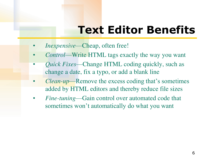# **Text Editor Benefits**

- *Inexpensive*—Cheap, often free!
- *Control*—Write HTML tags exactly the way you want
- *Quick Fixes*—Change HTML coding quickly, such as change a date, fix a typo, or add a blank line
- *Clean-up*—Remove the excess coding that's sometimes added by HTML editors and thereby reduce file sizes
- *Fine-tuning*—Gain control over automated code that sometimes won't automatically do what you want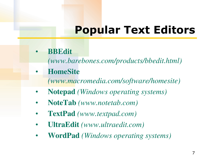# **Popular Text Editors**

- **BBEdit**
	- *(www.barebones.com/products/bbedit.html)*
- **HomeSite**
	- *(www.macromedia.com/software/homesite)*
- **Notepad** *(Windows operating systems)*
- **NoteTab** *(www.notetab.com)*
- **TextPad** *(www.textpad.com)*
- **UltraEdit** *(www.ultraedit.com)*
- **WordPad** *(Windows operating systems)*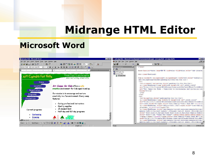## **Midrange HTML Editor**

### **Microsoft Word**

| artcamp.html - Microsoft Word                                                                                                                                                                                                                                                                                                                                                                                                                                                                                                                                                                                                                                                                                                                                                                                                                                                                                                                                                                                                                                                                                                                                                                                                                                                                                                                                                                                                                                                                                                                                                                                                                                                                                                                                                               | $-B$ $\times$                                                                                                                                                                                                                                                                                                                                                                                                                                                                                            |                                                                                                                                                                                                                                                                                                                                                                                                                                                                                                                                                                              | atcamp.html - Microsoft Development Environment [design] - [artcamp.html - artcamp.html*] *:<br>$-12$                                                                                                                                                                                                                                                                                                                                                                                                                                                                                                                                                                                                                                                                                                                                                                                                                                                                                                                                                                                                                                                                                                                                                                                                                                                                                                                                                                                                                                                                                                                                                                                                                                                                                                                                                                                                                                                                                                                                                                                                                                                             |                                                                                                                                                                                                                                                                                                                                                                                                                                                                                                                                                                                                                                                                                                                                                                                                                                                                                                                                                                                                                                                                                                                                                                                                                                                                                                                                                                                                                                                                                                                                                                                                                                                                                                                                                                                             |  |                                                                                                                                                                                                                                                                                                                                                                                                                                                                                                                                                                              |                                                                 |                                                                   |       |                                                                                                                                                                                                                                                                                                                                                                                                                               |  |                                         |       |                                             |
|---------------------------------------------------------------------------------------------------------------------------------------------------------------------------------------------------------------------------------------------------------------------------------------------------------------------------------------------------------------------------------------------------------------------------------------------------------------------------------------------------------------------------------------------------------------------------------------------------------------------------------------------------------------------------------------------------------------------------------------------------------------------------------------------------------------------------------------------------------------------------------------------------------------------------------------------------------------------------------------------------------------------------------------------------------------------------------------------------------------------------------------------------------------------------------------------------------------------------------------------------------------------------------------------------------------------------------------------------------------------------------------------------------------------------------------------------------------------------------------------------------------------------------------------------------------------------------------------------------------------------------------------------------------------------------------------------------------------------------------------------------------------------------------------|----------------------------------------------------------------------------------------------------------------------------------------------------------------------------------------------------------------------------------------------------------------------------------------------------------------------------------------------------------------------------------------------------------------------------------------------------------------------------------------------------------|------------------------------------------------------------------------------------------------------------------------------------------------------------------------------------------------------------------------------------------------------------------------------------------------------------------------------------------------------------------------------------------------------------------------------------------------------------------------------------------------------------------------------------------------------------------------------|-------------------------------------------------------------------------------------------------------------------------------------------------------------------------------------------------------------------------------------------------------------------------------------------------------------------------------------------------------------------------------------------------------------------------------------------------------------------------------------------------------------------------------------------------------------------------------------------------------------------------------------------------------------------------------------------------------------------------------------------------------------------------------------------------------------------------------------------------------------------------------------------------------------------------------------------------------------------------------------------------------------------------------------------------------------------------------------------------------------------------------------------------------------------------------------------------------------------------------------------------------------------------------------------------------------------------------------------------------------------------------------------------------------------------------------------------------------------------------------------------------------------------------------------------------------------------------------------------------------------------------------------------------------------------------------------------------------------------------------------------------------------------------------------------------------------------------------------------------------------------------------------------------------------------------------------------------------------------------------------------------------------------------------------------------------------------------------------------------------------------------------------------------------------|---------------------------------------------------------------------------------------------------------------------------------------------------------------------------------------------------------------------------------------------------------------------------------------------------------------------------------------------------------------------------------------------------------------------------------------------------------------------------------------------------------------------------------------------------------------------------------------------------------------------------------------------------------------------------------------------------------------------------------------------------------------------------------------------------------------------------------------------------------------------------------------------------------------------------------------------------------------------------------------------------------------------------------------------------------------------------------------------------------------------------------------------------------------------------------------------------------------------------------------------------------------------------------------------------------------------------------------------------------------------------------------------------------------------------------------------------------------------------------------------------------------------------------------------------------------------------------------------------------------------------------------------------------------------------------------------------------------------------------------------------------------------------------------------|--|------------------------------------------------------------------------------------------------------------------------------------------------------------------------------------------------------------------------------------------------------------------------------------------------------------------------------------------------------------------------------------------------------------------------------------------------------------------------------------------------------------------------------------------------------------------------------|-----------------------------------------------------------------|-------------------------------------------------------------------|-------|-------------------------------------------------------------------------------------------------------------------------------------------------------------------------------------------------------------------------------------------------------------------------------------------------------------------------------------------------------------------------------------------------------------------------------|--|-----------------------------------------|-------|---------------------------------------------|
| File Edit View Insert Format Tools Table Window Help                                                                                                                                                                                                                                                                                                                                                                                                                                                                                                                                                                                                                                                                                                                                                                                                                                                                                                                                                                                                                                                                                                                                                                                                                                                                                                                                                                                                                                                                                                                                                                                                                                                                                                                                        |                                                                                                                                                                                                                                                                                                                                                                                                                                                                                                          | $-10 \times$<br>Co File Edit View Tools Window Help                                                                                                                                                                                                                                                                                                                                                                                                                                                                                                                          |                                                                                                                                                                                                                                                                                                                                                                                                                                                                                                                                                                                                                                                                                                                                                                                                                                                                                                                                                                                                                                                                                                                                                                                                                                                                                                                                                                                                                                                                                                                                                                                                                                                                                                                                                                                                                                                                                                                                                                                                                                                                                                                                                                   |                                                                                                                                                                                                                                                                                                                                                                                                                                                                                                                                                                                                                                                                                                                                                                                                                                                                                                                                                                                                                                                                                                                                                                                                                                                                                                                                                                                                                                                                                                                                                                                                                                                                                                                                                                                             |  |                                                                                                                                                                                                                                                                                                                                                                                                                                                                                                                                                                              |                                                                 |                                                                   |       |                                                                                                                                                                                                                                                                                                                                                                                                                               |  |                                         |       |                                             |
|                                                                                                                                                                                                                                                                                                                                                                                                                                                                                                                                                                                                                                                                                                                                                                                                                                                                                                                                                                                                                                                                                                                                                                                                                                                                                                                                                                                                                                                                                                                                                                                                                                                                                                                                                                                             | $\mathbb{B}$                                                                                                                                                                                                                                                                                                                                                                                                                                                                                             | $X$ in El $O - O - M$<br>日间                                                                                                                                                                                                                                                                                                                                                                                                                                                                                                                                                  | $-88$ % $-$                                                                                                                                                                                                                                                                                                                                                                                                                                                                                                                                                                                                                                                                                                                                                                                                                                                                                                                                                                                                                                                                                                                                                                                                                                                                                                                                                                                                                                                                                                                                                                                                                                                                                                                                                                                                                                                                                                                                                                                                                                                                                                                                                       |                                                                                                                                                                                                                                                                                                                                                                                                                                                                                                                                                                                                                                                                                                                                                                                                                                                                                                                                                                                                                                                                                                                                                                                                                                                                                                                                                                                                                                                                                                                                                                                                                                                                                                                                                                                             |  |                                                                                                                                                                                                                                                                                                                                                                                                                                                                                                                                                                              |                                                                 |                                                                   |       |                                                                                                                                                                                                                                                                                                                                                                                                                               |  |                                         |       |                                             |
|                                                                                                                                                                                                                                                                                                                                                                                                                                                                                                                                                                                                                                                                                                                                                                                                                                                                                                                                                                                                                                                                                                                                                                                                                                                                                                                                                                                                                                                                                                                                                                                                                                                                                                                                                                                             | Mormal(Web) ▼ Comic Sans MS - ▼ 12 ▼   B / U   画 画 画   巨 画 画   巨 信 律   日 - タ - A - 、                                                                                                                                                                                                                                                                                                                                                                                                                     | $\vert x \vert$<br><b>Project Explorer</b>                                                                                                                                                                                                                                                                                                                                                                                                                                                                                                                                   | $\langle$ /head>                                                                                                                                                                                                                                                                                                                                                                                                                                                                                                                                                                                                                                                                                                                                                                                                                                                                                                                                                                                                                                                                                                                                                                                                                                                                                                                                                                                                                                                                                                                                                                                                                                                                                                                                                                                                                                                                                                                                                                                                                                                                                                                                                  |                                                                                                                                                                                                                                                                                                                                                                                                                                                                                                                                                                                                                                                                                                                                                                                                                                                                                                                                                                                                                                                                                                                                                                                                                                                                                                                                                                                                                                                                                                                                                                                                                                                                                                                                                                                             |  |                                                                                                                                                                                                                                                                                                                                                                                                                                                                                                                                                                              |                                                                 |                                                                   |       |                                                                                                                                                                                                                                                                                                                                                                                                                               |  |                                         |       |                                             |
| Art Camps for Kids<br>Home<br>Location<br>Registration<br>Programs<br>Contact Us<br>Current programs:                                                                                                                                                                                                                                                                                                                                                                                                                                                                                                                                                                                                                                                                                                                                                                                                                                                                                                                                                                                                                                                                                                                                                                                                                                                                                                                                                                                                                                                                                                                                                                                                                                                                                       | (a) a mass and a set of the set of $\mathbb{R}$ in the set of the set of the set of the set $\mathbb{R}$ (if the set of $\mathbb{R}$<br>Committed to encouraging<br>and nurturing creativity<br>Art Camps for Kids offers a safe<br>creative environment for kids aged 6 and up.<br>Our mission is to encourage and nurture<br>creativity in a fun environment. Every camp<br>features:<br>Caring professional instructors<br>Quality supplies<br>• 15-student limit<br>• Half-day and full-day programs | 日田日<br>网105Chapter.doc<br>artcamp.html<br>artcamp.html                                                                                                                                                                                                                                                                                                                                                                                                                                                                                                                       | <body bgcolor="white" lang="EN-US" link="blue" style="tab-interva&lt;br&gt;&lt;div class=Section1&gt;&lt;br&gt;&lt;table border=0 cellspacing=0 cellpadding=0 width=600 style=" vlink="blue" width:6.2.<br="">mso-cellspacing: Oin; mso-padding-alt: Oin Oin Oin Oin'&gt;<br/><tr><br/><td colspan="2" style="padding:0in Oin Oin Oin" valign="top"><br/><p class="MsoNormal"><img <br="" height="50" id=" x0000 i1030" width="600"/>src="file:///D:/Clients/MS%2OPress/Creation%2OGuide%2OBook/To%2OMS%20<br/>alt="Art Camps for Kids : Committed to encouraging and nurturing cre-<br/><math>border=0&gt;<p><p></p></p></math><br/><math>\langle /td \rangle</math><br/><math>\langle</math>/tr&gt;<br/><tr><br/><td style="padding:0in 0in 0in 0in" valign="top"><br/><p class="MsoNormal"><img <br="" height="250" id=" x0000 i1029" width="270"/>src="file:///D:/Clients/MS%20Press/Creation%20Guide%20Book/To%20MS%20<br/>alt=links border=0&gt;<span style='font-family:"Comic Sans MS"'><o:p><!--/<br--><p class="MsoNormal" style="margin-left:.5in"><span mso-margin-top-alt:auto;mso-margin-bottom-<br="" style="font-family&lt;br&gt;programs: &lt;o:p&gt;&lt;/o:p&gt;&lt;/span&gt;&lt;/p&gt;&lt;br&gt;&lt;p class=MsoNormal style=">margin-left:1.0in;text-indent:-.25in;mso-list:10 level1 lfo1;tab-sto</span></p></o:p></span></p></td></tr><tr><td>Cartooning<br/><b>Drawing</b><br/><math>-1</math><br/>■ 岡 国 3 4<br/>Draw + R G</td><td>AutoShapes · \ \ □ ○ 圖 4  见 ③ - <u>ノ</u> · A · 三 三 弓 ■ <i>■</i> 。</td><td></td><td>style='font-size:10.0pt;mso-bidi-font-size:12.0pt;font-family:Symbol<br/>style='font:7.0pt "Times New Roman"'&gt;     &amp;<br/><!-- [endif]--><span style='font-family: "Comic Sans MS"'><a<br>href="file:///D:/Clients/MS%20Press/Creation%20Guide%20Book/To%20MS%;<br/>&lt;p class=MsoNormal style='mso-margin-top-alt:auto;mso-margin-bottom-&lt;br&gt;margin-left:1.0in;text-indent;-.25in;mso-list:10 level1 lfo1;tab-sto</a<br></span></td></tr><tr><td></td><td>REC TRK EXT OVR English (U.S.<br/>In Col</td><td>Ready</td><td><b>STREAM INS</b><br/>Ln 145<br/>Col 6<br/>Ch6</td></tr></p></td></tr></body> | <br><p class="MsoNormal"><img <br="" height="50" id=" x0000 i1030" width="600"/>src="file:///D:/Clients/MS%2OPress/Creation%2OGuide%2OBook/To%2OMS%20<br/>alt="Art Camps for Kids : Committed to encouraging and nurturing cre-<br/><math>border=0&gt;<p><p></p></p></math><br/><math>\langle /td \rangle</math><br/><math>\langle</math>/tr&gt;<br/><tr><br/><td style="padding:0in 0in 0in 0in" valign="top"><br/><p class="MsoNormal"><img <br="" height="250" id=" x0000 i1029" width="270"/>src="file:///D:/Clients/MS%20Press/Creation%20Guide%20Book/To%20MS%20<br/>alt=links border=0&gt;<span style='font-family:"Comic Sans MS"'><o:p><!--/<br--><p class="MsoNormal" style="margin-left:.5in"><span mso-margin-top-alt:auto;mso-margin-bottom-<br="" style="font-family&lt;br&gt;programs: &lt;o:p&gt;&lt;/o:p&gt;&lt;/span&gt;&lt;/p&gt;&lt;br&gt;&lt;p class=MsoNormal style=">margin-left:1.0in;text-indent:-.25in;mso-list:10 level1 lfo1;tab-sto</span></p></o:p></span></p></td></tr><tr><td>Cartooning<br/><b>Drawing</b><br/><math>-1</math><br/>■ 岡 国 3 4<br/>Draw + R G</td><td>AutoShapes · \ \ □ ○ 圖 4  见 ③ - <u>ノ</u> · A · 三 三 弓 ■ <i>■</i> 。</td><td></td><td>style='font-size:10.0pt;mso-bidi-font-size:12.0pt;font-family:Symbol<br/>style='font:7.0pt "Times New Roman"'&gt;     &amp;<br/><!-- [endif]--><span style='font-family: "Comic Sans MS"'><a<br>href="file:///D:/Clients/MS%20Press/Creation%20Guide%20Book/To%20MS%;<br/>&lt;p class=MsoNormal style='mso-margin-top-alt:auto;mso-margin-bottom-&lt;br&gt;margin-left:1.0in;text-indent;-.25in;mso-list:10 level1 lfo1;tab-sto</a<br></span></td></tr><tr><td></td><td>REC TRK EXT OVR English (U.S.<br/>In Col</td><td>Ready</td><td><b>STREAM INS</b><br/>Ln 145<br/>Col 6<br/>Ch6</td></tr></p> |  | <br><p class="MsoNormal"><img <br="" height="250" id=" x0000 i1029" width="270"/>src="file:///D:/Clients/MS%20Press/Creation%20Guide%20Book/To%20MS%20<br/>alt=links border=0&gt;<span style='font-family:"Comic Sans MS"'><o:p><!--/<br--><p class="MsoNormal" style="margin-left:.5in"><span mso-margin-top-alt:auto;mso-margin-bottom-<br="" style="font-family&lt;br&gt;programs: &lt;o:p&gt;&lt;/o:p&gt;&lt;/span&gt;&lt;/p&gt;&lt;br&gt;&lt;p class=MsoNormal style=">margin-left:1.0in;text-indent:-.25in;mso-list:10 level1 lfo1;tab-sto</span></p></o:p></span></p> | Cartooning<br><b>Drawing</b><br>$-1$<br>■ 岡 国 3 4<br>Draw + R G | AutoShapes · \ \ □ ○ 圖 4  见 ③ - <u>ノ</u> · A · 三 三 弓 ■ <i>■</i> 。 |       | style='font-size:10.0pt;mso-bidi-font-size:12.0pt;font-family:Symbol<br>style='font:7.0pt "Times New Roman"'>     &<br>[endif] <span style='font-family: "Comic Sans MS"'><a<br>href="file:///D:/Clients/MS%20Press/Creation%20Guide%20Book/To%20MS%;<br/>&lt;p class=MsoNormal style='mso-margin-top-alt:auto;mso-margin-bottom-&lt;br&gt;margin-left:1.0in;text-indent;-.25in;mso-list:10 level1 lfo1;tab-sto</a<br></span> |  | REC TRK EXT OVR English (U.S.<br>In Col | Ready | <b>STREAM INS</b><br>Ln 145<br>Col 6<br>Ch6 |
| <br><p class="MsoNormal"><img <br="" height="50" id=" x0000 i1030" width="600"/>src="file:///D:/Clients/MS%2OPress/Creation%2OGuide%2OBook/To%2OMS%20<br/>alt="Art Camps for Kids : Committed to encouraging and nurturing cre-<br/><math>border=0&gt;<p><p></p></p></math><br/><math>\langle /td \rangle</math><br/><math>\langle</math>/tr&gt;<br/><tr><br/><td style="padding:0in 0in 0in 0in" valign="top"><br/><p class="MsoNormal"><img <br="" height="250" id=" x0000 i1029" width="270"/>src="file:///D:/Clients/MS%20Press/Creation%20Guide%20Book/To%20MS%20<br/>alt=links border=0&gt;<span style='font-family:"Comic Sans MS"'><o:p><!--/<br--><p class="MsoNormal" style="margin-left:.5in"><span mso-margin-top-alt:auto;mso-margin-bottom-<br="" style="font-family&lt;br&gt;programs: &lt;o:p&gt;&lt;/o:p&gt;&lt;/span&gt;&lt;/p&gt;&lt;br&gt;&lt;p class=MsoNormal style=">margin-left:1.0in;text-indent:-.25in;mso-list:10 level1 lfo1;tab-sto</span></p></o:p></span></p></td></tr><tr><td>Cartooning<br/><b>Drawing</b><br/><math>-1</math><br/>■ 岡 国 3 4<br/>Draw + R G</td><td>AutoShapes · \ \ □ ○ 圖 4  见 ③ - <u>ノ</u> · A · 三 三 弓 ■ <i>■</i> 。</td><td></td><td>style='font-size:10.0pt;mso-bidi-font-size:12.0pt;font-family:Symbol<br/>style='font:7.0pt "Times New Roman"'&gt;     &amp;<br/><!-- [endif]--><span style='font-family: "Comic Sans MS"'><a<br>href="file:///D:/Clients/MS%20Press/Creation%20Guide%20Book/To%20MS%;<br/>&lt;p class=MsoNormal style='mso-margin-top-alt:auto;mso-margin-bottom-&lt;br&gt;margin-left:1.0in;text-indent;-.25in;mso-list:10 level1 lfo1;tab-sto</a<br></span></td></tr><tr><td></td><td>REC TRK EXT OVR English (U.S.<br/>In Col</td><td>Ready</td><td><b>STREAM INS</b><br/>Ln 145<br/>Col 6<br/>Ch6</td></tr></p> |                                                                                                                                                                                                                                                                                                                                                                                                                                                                                                          | <br><p class="MsoNormal"><img <br="" height="250" id=" x0000 i1029" width="270"/>src="file:///D:/Clients/MS%20Press/Creation%20Guide%20Book/To%20MS%20<br/>alt=links border=0&gt;<span style='font-family:"Comic Sans MS"'><o:p><!--/<br--><p class="MsoNormal" style="margin-left:.5in"><span mso-margin-top-alt:auto;mso-margin-bottom-<br="" style="font-family&lt;br&gt;programs: &lt;o:p&gt;&lt;/o:p&gt;&lt;/span&gt;&lt;/p&gt;&lt;br&gt;&lt;p class=MsoNormal style=">margin-left:1.0in;text-indent:-.25in;mso-list:10 level1 lfo1;tab-sto</span></p></o:p></span></p> | Cartooning<br><b>Drawing</b><br>$-1$<br>■ 岡 国 3 4<br>Draw + R G                                                                                                                                                                                                                                                                                                                                                                                                                                                                                                                                                                                                                                                                                                                                                                                                                                                                                                                                                                                                                                                                                                                                                                                                                                                                                                                                                                                                                                                                                                                                                                                                                                                                                                                                                                                                                                                                                                                                                                                                                                                                                                   | AutoShapes · \ \ □ ○ 圖 4  见 ③ - <u>ノ</u> · A · 三 三 弓 ■ <i>■</i> 。                                                                                                                                                                                                                                                                                                                                                                                                                                                                                                                                                                                                                                                                                                                                                                                                                                                                                                                                                                                                                                                                                                                                                                                                                                                                                                                                                                                                                                                                                                                                                                                                                                                                                                                           |  | style='font-size:10.0pt;mso-bidi-font-size:12.0pt;font-family:Symbol<br>style='font:7.0pt "Times New Roman"'>     &<br>[endif] <span style='font-family: "Comic Sans MS"'><a<br>href="file:///D:/Clients/MS%20Press/Creation%20Guide%20Book/To%20MS%;<br/>&lt;p class=MsoNormal style='mso-margin-top-alt:auto;mso-margin-bottom-&lt;br&gt;margin-left:1.0in;text-indent;-.25in;mso-list:10 level1 lfo1;tab-sto</a<br></span>                                                                                                                                                |                                                                 | REC TRK EXT OVR English (U.S.<br>In Col                           | Ready | <b>STREAM INS</b><br>Ln 145<br>Col 6<br>Ch6                                                                                                                                                                                                                                                                                                                                                                                   |  |                                         |       |                                             |
| <br><p class="MsoNormal"><img <br="" height="250" id=" x0000 i1029" width="270"/>src="file:///D:/Clients/MS%20Press/Creation%20Guide%20Book/To%20MS%20<br/>alt=links border=0&gt;<span style='font-family:"Comic Sans MS"'><o:p><!--/<br--><p class="MsoNormal" style="margin-left:.5in"><span mso-margin-top-alt:auto;mso-margin-bottom-<br="" style="font-family&lt;br&gt;programs: &lt;o:p&gt;&lt;/o:p&gt;&lt;/span&gt;&lt;/p&gt;&lt;br&gt;&lt;p class=MsoNormal style=">margin-left:1.0in;text-indent:-.25in;mso-list:10 level1 lfo1;tab-sto</span></p></o:p></span></p>                                                                                                                                                                                                                                                                                                                                                                                                                                                                                                                                                                                                                                                                                                                                                                                                                                                                                                                                                                                                                                                                                                                                                                                                                |                                                                                                                                                                                                                                                                                                                                                                                                                                                                                                          |                                                                                                                                                                                                                                                                                                                                                                                                                                                                                                                                                                              |                                                                                                                                                                                                                                                                                                                                                                                                                                                                                                                                                                                                                                                                                                                                                                                                                                                                                                                                                                                                                                                                                                                                                                                                                                                                                                                                                                                                                                                                                                                                                                                                                                                                                                                                                                                                                                                                                                                                                                                                                                                                                                                                                                   |                                                                                                                                                                                                                                                                                                                                                                                                                                                                                                                                                                                                                                                                                                                                                                                                                                                                                                                                                                                                                                                                                                                                                                                                                                                                                                                                                                                                                                                                                                                                                                                                                                                                                                                                                                                             |  |                                                                                                                                                                                                                                                                                                                                                                                                                                                                                                                                                                              |                                                                 |                                                                   |       |                                                                                                                                                                                                                                                                                                                                                                                                                               |  |                                         |       |                                             |
| Cartooning<br><b>Drawing</b><br>$-1$<br>■ 岡 国 3 4<br>Draw + R G                                                                                                                                                                                                                                                                                                                                                                                                                                                                                                                                                                                                                                                                                                                                                                                                                                                                                                                                                                                                                                                                                                                                                                                                                                                                                                                                                                                                                                                                                                                                                                                                                                                                                                                             | AutoShapes · \ \ □ ○ 圖 4  见 ③ - <u>ノ</u> · A · 三 三 弓 ■ <i>■</i> 。                                                                                                                                                                                                                                                                                                                                                                                                                                        |                                                                                                                                                                                                                                                                                                                                                                                                                                                                                                                                                                              | style='font-size:10.0pt;mso-bidi-font-size:12.0pt;font-family:Symbol<br>style='font:7.0pt "Times New Roman"'>     &<br>[endif] <span style='font-family: "Comic Sans MS"'><a<br>href="file:///D:/Clients/MS%20Press/Creation%20Guide%20Book/To%20MS%;<br/>&lt;p class=MsoNormal style='mso-margin-top-alt:auto;mso-margin-bottom-&lt;br&gt;margin-left:1.0in;text-indent;-.25in;mso-list:10 level1 lfo1;tab-sto</a<br></span>                                                                                                                                                                                                                                                                                                                                                                                                                                                                                                                                                                                                                                                                                                                                                                                                                                                                                                                                                                                                                                                                                                                                                                                                                                                                                                                                                                                                                                                                                                                                                                                                                                                                                                                                     |                                                                                                                                                                                                                                                                                                                                                                                                                                                                                                                                                                                                                                                                                                                                                                                                                                                                                                                                                                                                                                                                                                                                                                                                                                                                                                                                                                                                                                                                                                                                                                                                                                                                                                                                                                                             |  |                                                                                                                                                                                                                                                                                                                                                                                                                                                                                                                                                                              |                                                                 |                                                                   |       |                                                                                                                                                                                                                                                                                                                                                                                                                               |  |                                         |       |                                             |
|                                                                                                                                                                                                                                                                                                                                                                                                                                                                                                                                                                                                                                                                                                                                                                                                                                                                                                                                                                                                                                                                                                                                                                                                                                                                                                                                                                                                                                                                                                                                                                                                                                                                                                                                                                                             | REC TRK EXT OVR English (U.S.<br>In Col                                                                                                                                                                                                                                                                                                                                                                                                                                                                  | Ready                                                                                                                                                                                                                                                                                                                                                                                                                                                                                                                                                                        | <b>STREAM INS</b><br>Ln 145<br>Col 6<br>Ch6                                                                                                                                                                                                                                                                                                                                                                                                                                                                                                                                                                                                                                                                                                                                                                                                                                                                                                                                                                                                                                                                                                                                                                                                                                                                                                                                                                                                                                                                                                                                                                                                                                                                                                                                                                                                                                                                                                                                                                                                                                                                                                                       |                                                                                                                                                                                                                                                                                                                                                                                                                                                                                                                                                                                                                                                                                                                                                                                                                                                                                                                                                                                                                                                                                                                                                                                                                                                                                                                                                                                                                                                                                                                                                                                                                                                                                                                                                                                             |  |                                                                                                                                                                                                                                                                                                                                                                                                                                                                                                                                                                              |                                                                 |                                                                   |       |                                                                                                                                                                                                                                                                                                                                                                                                                               |  |                                         |       |                                             |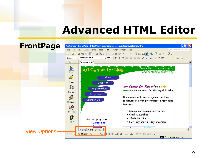## **Advanced HTML Editor**

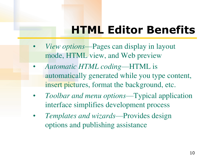# **HTML Editor Benefits**

- *View options*—Pages can display in layout mode, HTML view, and Web preview
- *Automatic HTML coding*—HTML is automatically generated while you type content, insert pictures, format the background, etc.
- *Toolbar and menu options*—Typical application interface simplifies development process
- *Templates and wizards*—Provides design options and publishing assistance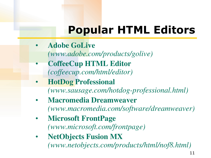# **Popular HTML Editors**

• **Adobe GoLive**

*(www.adobe.com/products/golive)*

- **CoffeeCup HTML Editor** *(coffeecup.com/html/editor)*
- **HotDog Professional** *(www.sausage.com/hotdog-professional.html)*
- **Macromedia Dreamweaver** *(www.macromedia.com/software/dreamweaver)*
- **Microsoft FrontPage** *(www.microsoft.com/frontpage)*
- **NetObjects Fusion MX** *(www.netobjects.com/products/html/nof8.html)*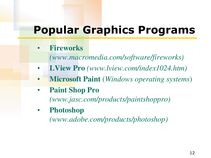## **Popular Graphics Programs**

- **Fireworks** 
	- *(www.macromedia.com/software/fireworks)*
- **LView Pro** *(www.lview.com/index1024.htm)*
- **Microsoft Paint** (*Windows operating systems*)
- **Paint Shop Pro**  *(www.jasc.com/products/paintshoppro)*
- **Photoshop**

*(www.adobe.com/products/photoshop)*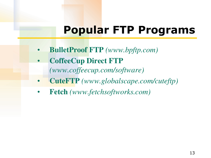# **Popular FTP Programs**

- **BulletProof FTP** *(www.bpftp.com)*
- **CoffeeCup Direct FTP** *(www.coffeecup.com/software)*
- **CuteFTP** *(www.globalscape.com/cuteftp)*
- **Fetch** *(www.fetchsoftworks.com)*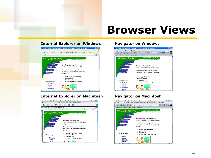## **Browser Views**

#### •**Internet Explorer on Windows**



#### •**Internet Explorer on Macintosh**



#### •**Navigator on Windows**



#### •**Navigator on Macintosh**

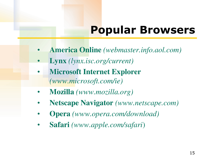# **Popular Browsers**

- **America Online** *(webmaster.info.aol.com)*
- **Lynx** *(lynx.isc.org/current)*
- **Microsoft Internet Explorer**  *(www.microsoft.com/ie)*
- **Mozilla** *(www.mozilla.org)*
- **Netscape Navigator** *(www.netscape.com)*
- **Opera** *(www.opera.com/download)*
- **Safari** *(www.apple.com/safari*)